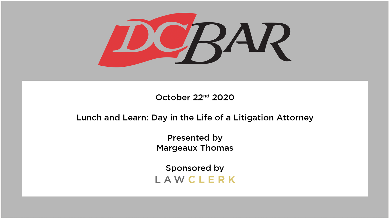

October 22<sup>nd</sup> 2020

#### Lunch and Learn: Day in the Life of a Litigation Attorney

**Presented by Margeaux Thomas** 

Sponsored by LAWCLERK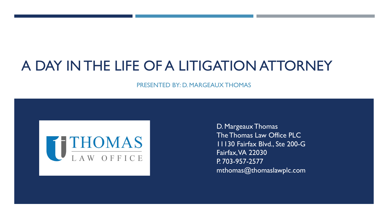## A DAY IN THE LIFE OF A LITIGATION ATTORNEY

PRESENTED BY: D. MARGEAUX THOMAS



D. Margeaux Thomas The Thomas Law Office PLC 11130 Fairfax Blvd., Ste 200-G Fairfax, VA 22030 P. 703-957-2577 mthomas@thomaslawplc.com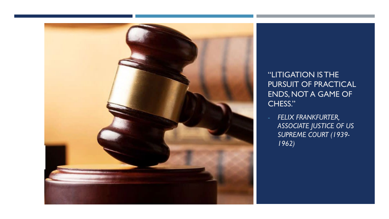

"LITIGATION IS THE PURSUIT OF PRACTICAL ENDS, NOT A GAME OF CHESS."

- *FELIX FRANKFURTER, ASSOCIATE JUSTICE OF US SUPREME COURT (1939- 1962)*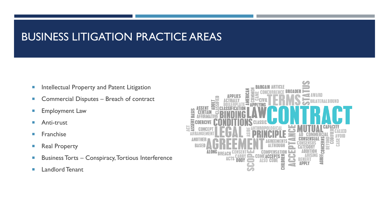#### BUSINESS LITIGATION PRACTICE AREAS

- **Intellectual Property and Patent Litigation**
- Commercial Disputes Breach of contract
- **Employment Law**
- **Anti-trust**
- **Franchise**
- **Real Property**
- **Business Torts Conspiracy, Tortious Interference**
- **Landlord Tenant**

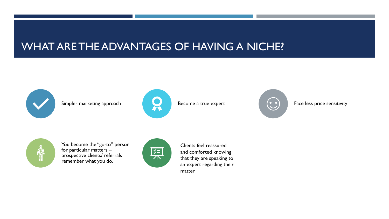#### WHAT ARE THE ADVANTAGES OF HAVING A NICHE?









You become the "go-to" person for particular matters – prospective clients/ referrals remember what you do.



Clients feel reassured and comforted knowing that they are speaking to an expert regarding their matter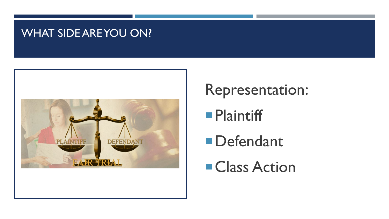#### WHAT SIDE ARE YOU ON?



# Representation:

# **Plaintiff**

**Defendant** 

**Class Action**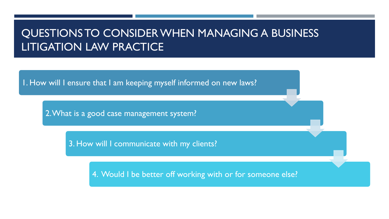#### QUESTIONS TO CONSIDER WHEN MANAGING A BUSINESS LITIGATION LAW PRACTICE

1. How will I ensure that I am keeping myself informed on new laws?

2. What is a good case management system?

3. How will I communicate with my clients?

4. Would I be better off working with or for someone else?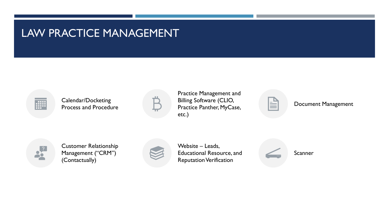#### LAW PRACTICE MANAGEMENT



Calendar/Docketing Process and Procedure



Practice Management and Billing Software (CLIO, Practice Panther, MyCase, etc.)

Document Management



Customer Relationship Management ("CRM") (Contactually)



Website – Leads, Educational Resource, and Reputation Verification

Scanner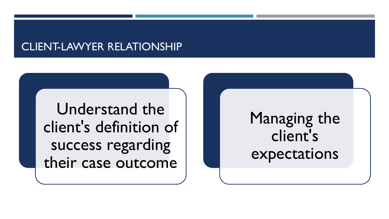#### CLIENT-LAWYER RELATIONSHIP

Understand the client's definition of success regarding their case outcome

# Managing the client's expectations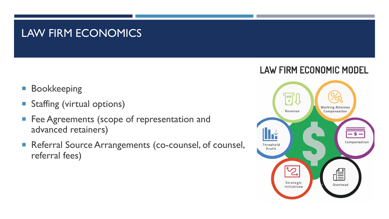#### LAW FIRM ECONOMICS

- **Bookkeeping**
- **Staffing (virtual options)**
- **Fee Agreements (scope of representation and** advanced retainers)
- Referral Source Arrangements (co-counsel, of counsel, referral fees)

#### **LAW FIRM ECONOMIC MODEL**

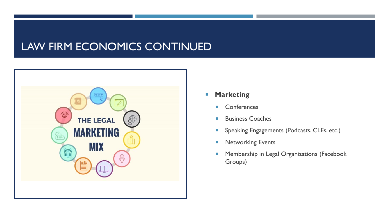#### LAW FIRM ECONOMICS CONTINUED



- **Marketing** 
	- Conferences
	- **Business Coaches**
	- **Speaking Engagements (Podcasts, CLEs, etc.)**
	- **Networking Events**
	- **Membership in Legal Organizations (Facebook** Groups)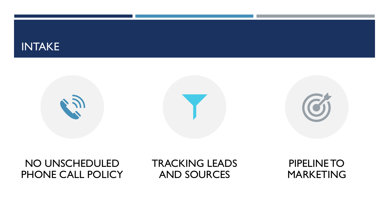#### INTAKE



#### NO UNSCHEDULED PHONE CALL POLICY

#### TRACKING LEADS AND SOURCES

#### PIPELINE TO MARKETING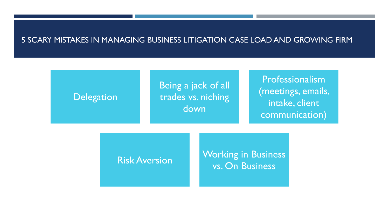#### 5 SCARY MISTAKES IN MANAGING BUSINESS LITIGATION CASE LOAD AND GROWING FIRM



Risk Aversion Working in Business vs. On Business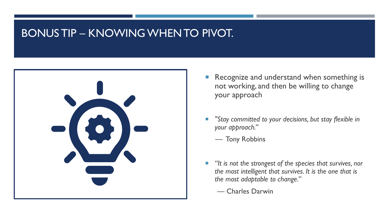#### BONUS TIP – KNOWING WHEN TO PIVOT.



- Recognize and understand when something is not working, and then be willing to change your approach
- *"Stay committed to your decisions, but stay flexible in your approach."* 
	- Tony Robbins
- *"It is not the strongest of the species that survives, nor the most intelligent that survives. It is the one that is the most adaptable to change."*
	- Charles Darwin